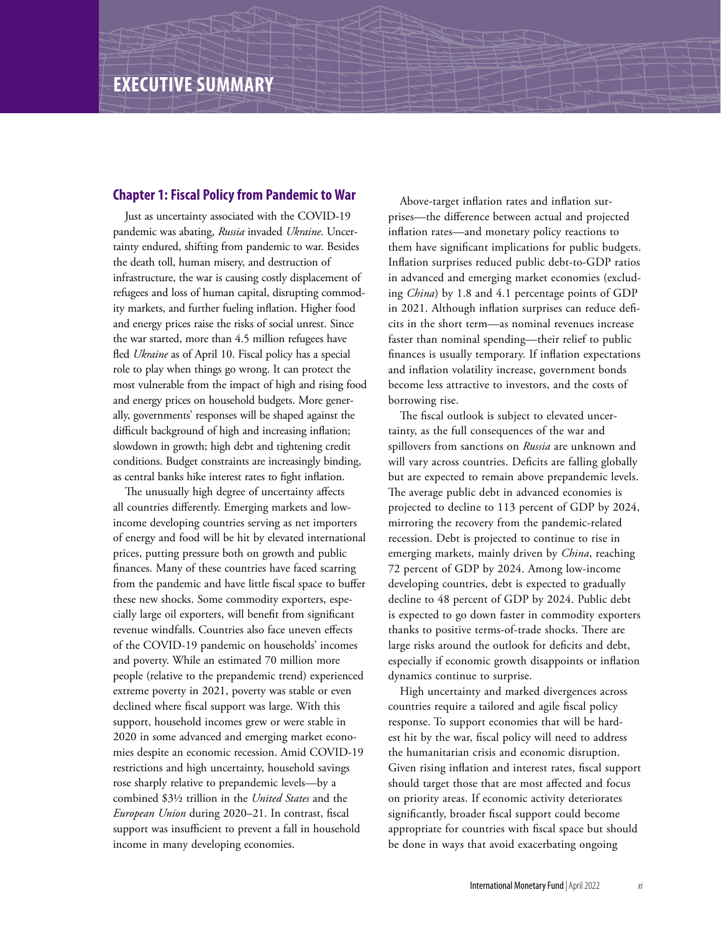# **Chapter 1: Fiscal Policy from Pandemic to War**

Just as uncertainty associated with the COVID-19 pandemic was abating, *Russia* invaded *Ukraine*. Uncertainty endured, shifting from pandemic to war. Besides the death toll, human misery, and destruction of infrastructure, the war is causing costly displacement of refugees and loss of human capital, disrupting commodity markets, and further fueling inflation. Higher food and energy prices raise the risks of social unrest. Since the war started, more than 4.5 million refugees have fled *Ukraine* as of April 10. Fiscal policy has a special role to play when things go wrong. It can protect the most vulnerable from the impact of high and rising food and energy prices on household budgets. More generally, governments' responses will be shaped against the difficult background of high and increasing inflation; slowdown in growth; high debt and tightening credit conditions. Budget constraints are increasingly binding, as central banks hike interest rates to fight inflation.

The unusually high degree of uncertainty affects all countries differently. Emerging markets and lowincome developing countries serving as net importers of energy and food will be hit by elevated international prices, putting pressure both on growth and public finances. Many of these countries have faced scarring from the pandemic and have little fiscal space to buffer these new shocks. Some commodity exporters, especially large oil exporters, will benefit from significant revenue windfalls. Countries also face uneven effects of the COVID-19 pandemic on households' incomes and poverty. While an estimated 70 million more people (relative to the prepandemic trend) experienced extreme poverty in 2021, poverty was stable or even declined where fiscal support was large. With this support, household incomes grew or were stable in 2020 in some advanced and emerging market economies despite an economic recession. Amid COVID-19 restrictions and high uncertainty, household savings rose sharply relative to prepandemic levels—by a combined \$3½ trillion in the *United States* and the *European Union* during 2020–21. In contrast, fiscal support was insufficient to prevent a fall in household income in many developing economies.

Above-target inflation rates and inflation surprises—the difference between actual and projected inflation rates—and monetary policy reactions to them have significant implications for public budgets. Inflation surprises reduced public debt-to-GDP ratios in advanced and emerging market economies (excluding *China*) by 1.8 and 4.1 percentage points of GDP in 2021. Although inflation surprises can reduce deficits in the short term—as nominal revenues increase faster than nominal spending—their relief to public finances is usually temporary. If inflation expectations and inflation volatility increase, government bonds become less attractive to investors, and the costs of borrowing rise.

 $\Rightarrow$ 

The fiscal outlook is subject to elevated uncertainty, as the full consequences of the war and spillovers from sanctions on *Russia* are unknown and will vary across countries. Deficits are falling globally but are expected to remain above prepandemic levels. The average public debt in advanced economies is projected to decline to 113 percent of GDP by 2024, mirroring the recovery from the pandemic-related recession. Debt is projected to continue to rise in emerging markets, mainly driven by *China*, reaching 72 percent of GDP by 2024. Among low-income developing countries, debt is expected to gradually decline to 48 percent of GDP by 2024. Public debt is expected to go down faster in commodity exporters thanks to positive terms-of-trade shocks. There are large risks around the outlook for deficits and debt, especially if economic growth disappoints or inflation dynamics continue to surprise.

High uncertainty and marked divergences across countries require a tailored and agile fiscal policy response. To support economies that will be hardest hit by the war, fiscal policy will need to address the humanitarian crisis and economic disruption. Given rising inflation and interest rates, fiscal support should target those that are most affected and focus on priority areas. If economic activity deteriorates significantly, broader fiscal support could become appropriate for countries with fiscal space but should be done in ways that avoid exacerbating ongoing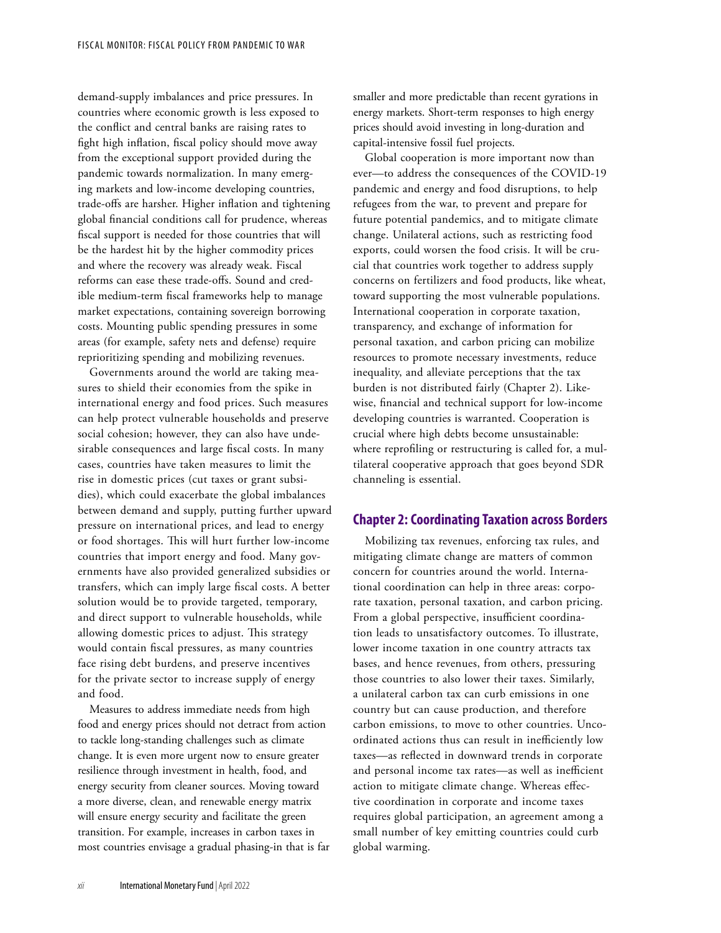demand-supply imbalances and price pressures. In countries where economic growth is less exposed to the conflict and central banks are raising rates to fight high inflation, fiscal policy should move away from the exceptional support provided during the pandemic towards normalization. In many emerging markets and low-income developing countries, trade-offs are harsher. Higher inflation and tightening global financial conditions call for prudence, whereas fiscal support is needed for those countries that will be the hardest hit by the higher commodity prices and where the recovery was already weak. Fiscal reforms can ease these trade-offs. Sound and credible medium-term fiscal frameworks help to manage market expectations, containing sovereign borrowing costs. Mounting public spending pressures in some areas (for example, safety nets and defense) require reprioritizing spending and mobilizing revenues.

Governments around the world are taking measures to shield their economies from the spike in international energy and food prices. Such measures can help protect vulnerable households and preserve social cohesion; however, they can also have undesirable consequences and large fiscal costs. In many cases, countries have taken measures to limit the rise in domestic prices (cut taxes or grant subsidies), which could exacerbate the global imbalances between demand and supply, putting further upward pressure on international prices, and lead to energy or food shortages. This will hurt further low-income countries that import energy and food. Many governments have also provided generalized subsidies or transfers, which can imply large fiscal costs. A better solution would be to provide targeted, temporary, and direct support to vulnerable households, while allowing domestic prices to adjust. This strategy would contain fiscal pressures, as many countries face rising debt burdens, and preserve incentives for the private sector to increase supply of energy and food.

Measures to address immediate needs from high food and energy prices should not detract from action to tackle long-standing challenges such as climate change. It is even more urgent now to ensure greater resilience through investment in health, food, and energy security from cleaner sources. Moving toward a more diverse, clean, and renewable energy matrix will ensure energy security and facilitate the green transition. For example, increases in carbon taxes in most countries envisage a gradual phasing-in that is far smaller and more predictable than recent gyrations in energy markets. Short-term responses to high energy prices should avoid investing in long-duration and capital-intensive fossil fuel projects.

Global cooperation is more important now than ever—to address the consequences of the COVID-19 pandemic and energy and food disruptions, to help refugees from the war, to prevent and prepare for future potential pandemics, and to mitigate climate change. Unilateral actions, such as restricting food exports, could worsen the food crisis. It will be crucial that countries work together to address supply concerns on fertilizers and food products, like wheat, toward supporting the most vulnerable populations. International cooperation in corporate taxation, transparency, and exchange of information for personal taxation, and carbon pricing can mobilize resources to promote necessary investments, reduce inequality, and alleviate perceptions that the tax burden is not distributed fairly (Chapter 2). Likewise, financial and technical support for low-income developing countries is warranted. Cooperation is crucial where high debts become unsustainable: where reprofiling or restructuring is called for, a multilateral cooperative approach that goes beyond SDR channeling is essential.

## **Chapter 2: Coordinating Taxation across Borders**

Mobilizing tax revenues, enforcing tax rules, and mitigating climate change are matters of common concern for countries around the world. International coordination can help in three areas: corporate taxation, personal taxation, and carbon pricing. From a global perspective, insufficient coordination leads to unsatisfactory outcomes. To illustrate, lower income taxation in one country attracts tax bases, and hence revenues, from others, pressuring those countries to also lower their taxes. Similarly, a unilateral carbon tax can curb emissions in one country but can cause production, and therefore carbon emissions, to move to other countries. Uncoordinated actions thus can result in inefficiently low taxes—as reflected in downward trends in corporate and personal income tax rates—as well as inefficient action to mitigate climate change. Whereas effective coordination in corporate and income taxes requires global participation, an agreement among a small number of key emitting countries could curb global warming.